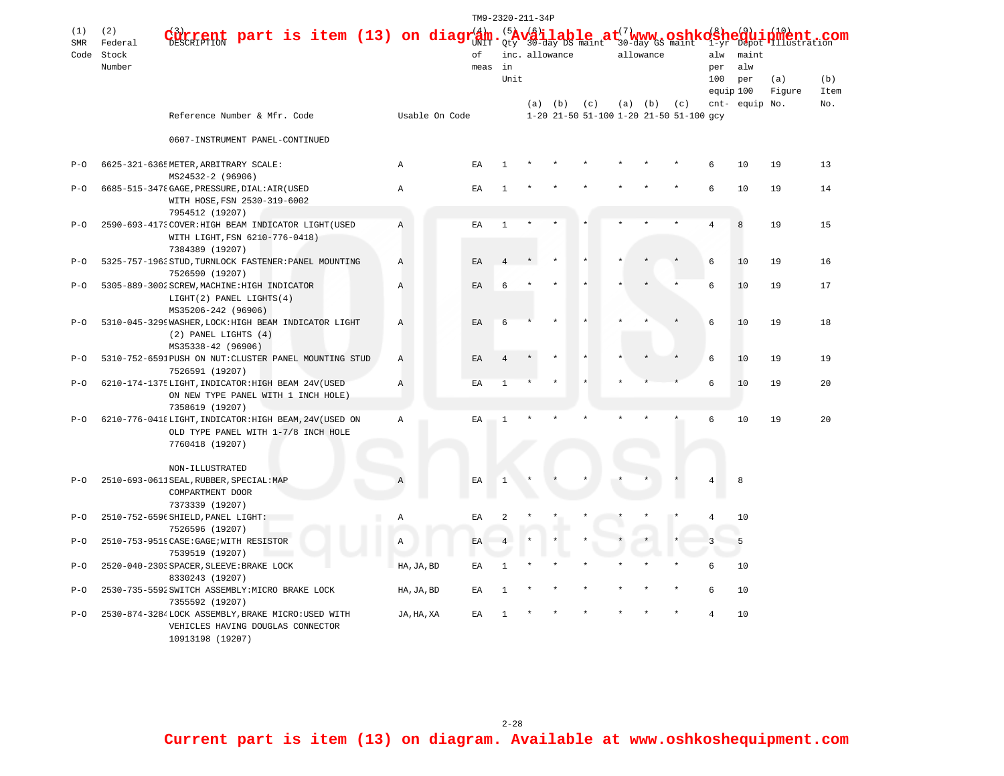|            |                                                                                           |                                                                          |                                                              |   |              |    |              |                |                            |                |                | TM9-2320-211-34P |                                                |             |                                                                                                                                            |     |           |                |              |      |  |  |
|------------|-------------------------------------------------------------------------------------------|--------------------------------------------------------------------------|--------------------------------------------------------------|---|--------------|----|--------------|----------------|----------------------------|----------------|----------------|------------------|------------------------------------------------|-------------|--------------------------------------------------------------------------------------------------------------------------------------------|-----|-----------|----------------|--------------|------|--|--|
| (1)        | (2)                                                                                       |                                                                          | part is item (13) on diagr $\frac{4}{3}$ m. $\frac{5}{2}$ ty |   |              |    |              |                |                            |                | <b>r</b> 22    |                  |                                                |             |                                                                                                                                            |     |           |                |              | com  |  |  |
| <b>SMR</b> | Federal                                                                                   |                                                                          |                                                              |   |              |    |              |                |                            |                |                |                  |                                                |             | $\mathbf{v}_{30\text{-day}}^{(\mathbf{s})}$ ilable $\mathbf{h}_{\text{sum}}$ at $_{30\text{-day}}^{(7)}$ www.so $\mathbf{s}_{\text{main}}$ |     |           | $1 - v r$      | Illustration |      |  |  |
|            | Code Stock                                                                                |                                                                          |                                                              |   |              |    |              | оf             |                            |                | inc. allowance |                  |                                                | allowance   |                                                                                                                                            |     | maint     |                |              |      |  |  |
|            | Number                                                                                    |                                                                          |                                                              |   |              |    |              |                | meas                       | in             |                |                  |                                                |             |                                                                                                                                            |     | per       | alw            |              |      |  |  |
|            |                                                                                           |                                                                          |                                                              |   |              |    |              |                |                            | Unit           |                |                  |                                                |             |                                                                                                                                            |     | 100       | per            | (a)          | (b)  |  |  |
|            |                                                                                           |                                                                          |                                                              |   |              |    |              |                |                            |                |                |                  |                                                |             |                                                                                                                                            |     | equip 100 |                | Figure       | Item |  |  |
|            |                                                                                           | Reference Number & Mfr. Code                                             |                                                              |   |              |    |              | Usable On Code |                            |                | (a)            | (b)              | (c)<br>1-20 21-50 51-100 1-20 21-50 51-100 gcy | $(a)$ $(b)$ |                                                                                                                                            | (c) |           | cnt- equip No. |              | No.  |  |  |
|            |                                                                                           | 0607-INSTRUMENT PANEL-CONTINUED                                          |                                                              |   |              |    |              |                |                            |                |                |                  |                                                |             |                                                                                                                                            |     |           |                |              |      |  |  |
| $P - Q$    |                                                                                           | 6625-321-6365 METER, ARBITRARY SCALE:                                    |                                                              |   |              |    | Α            |                | ΕA                         |                |                |                  |                                                |             |                                                                                                                                            |     | 6         | 10             | 19           | 13   |  |  |
| $P-O$      | MS24532-2 (96906)<br>6685-515-3478 GAGE, PRESSURE, DIAL: AIR (USED                        |                                                                          |                                                              |   | $\mathbb{A}$ | EA |              | $\mathbf{1}$   |                            |                |                |                  |                                                |             | 6                                                                                                                                          | 10  | 19        | 14             |              |      |  |  |
|            | WITH HOSE, FSN 2530-319-6002                                                              |                                                                          |                                                              |   |              |    |              |                |                            |                |                |                  |                                                |             |                                                                                                                                            |     |           |                |              |      |  |  |
|            | 7954512 (19207)                                                                           |                                                                          |                                                              |   |              |    |              |                |                            |                |                |                  |                                                |             |                                                                                                                                            |     |           |                |              |      |  |  |
| $P-O$      |                                                                                           | 2590-693-4173 COVER: HIGH BEAM INDICATOR LIGHT (USED                     |                                                              |   |              |    | $\mathbb{A}$ |                | EA                         | 1              |                |                  |                                                |             |                                                                                                                                            |     | 4         | 8              | 19           | 15   |  |  |
|            |                                                                                           | WITH LIGHT, FSN 6210-776-0418)                                           |                                                              |   |              |    |              |                |                            |                |                |                  |                                                |             |                                                                                                                                            |     |           |                |              |      |  |  |
|            |                                                                                           | 7384389 (19207)                                                          |                                                              |   |              |    |              |                |                            |                |                |                  |                                                |             |                                                                                                                                            |     |           |                |              |      |  |  |
| $P - Q$    |                                                                                           | 5325-757-1963 STUD, TURNLOCK FASTENER: PANEL MOUNTING                    |                                                              |   |              |    | Α            |                | EA                         | $\overline{4}$ |                |                  |                                                |             |                                                                                                                                            |     | 6         | 10             | 19           | 16   |  |  |
|            |                                                                                           | 7526590 (19207)                                                          |                                                              |   |              |    |              |                |                            |                |                |                  |                                                |             |                                                                                                                                            |     |           |                |              |      |  |  |
| $P-O$      |                                                                                           |                                                                          | 5305-889-3002 SCREW, MACHINE: HIGH INDICATOR                 |   |              |    | Α            |                | EA                         | 6              |                |                  |                                                |             |                                                                                                                                            |     |           | 10             | 19           | 17   |  |  |
|            |                                                                                           | LIGHT(2) PANEL LIGHTS(4)                                                 |                                                              |   |              |    |              |                |                            |                |                |                  |                                                |             |                                                                                                                                            |     |           |                |              |      |  |  |
|            |                                                                                           | MS35206-242 (96906)                                                      |                                                              |   |              |    |              |                |                            |                |                |                  |                                                |             |                                                                                                                                            |     |           |                |              |      |  |  |
| $P - Q$    | 5310-045-3299 WASHER, LOCK: HIGH BEAM INDICATOR LIGHT                                     |                                                                          |                                                              |   | Α            |    | EA           | 6              |                            |                |                |                  |                                                |             | 6                                                                                                                                          | 10  | 19        | 18             |              |      |  |  |
|            |                                                                                           | $(2)$ PANEL LIGHTS $(4)$                                                 |                                                              |   |              |    |              |                |                            |                |                |                  |                                                |             |                                                                                                                                            |     |           |                |              |      |  |  |
|            |                                                                                           | MS35338-42 (96906)                                                       |                                                              |   |              |    |              |                |                            |                |                |                  |                                                |             |                                                                                                                                            |     |           |                |              |      |  |  |
| $P-O$      |                                                                                           | 5310-752-6591PUSH ON NUT: CLUSTER PANEL MOUNTING STUD<br>7526591 (19207) |                                                              |   |              |    | Α            |                | EA                         |                |                |                  |                                                |             |                                                                                                                                            |     | 6         | 10             | 19           | 19   |  |  |
| $P - Q$    | 6210-174-1375LIGHT, INDICATOR: HIGH BEAM 24V (USED<br>ON NEW TYPE PANEL WITH 1 INCH HOLE) |                                                                          |                                                              | Α |              | EA | 1            |                |                            |                |                |                  |                                                | 6           | 10                                                                                                                                         | 19  | 20        |                |              |      |  |  |
|            |                                                                                           |                                                                          |                                                              |   |              |    |              |                |                            |                |                |                  |                                                |             |                                                                                                                                            |     |           |                |              |      |  |  |
|            |                                                                                           | 7358619 (19207)                                                          |                                                              |   |              |    |              |                |                            |                |                |                  |                                                |             |                                                                                                                                            |     |           |                |              |      |  |  |
| $P - Q$    | 6210-776-0418LIGHT, INDICATOR: HIGH BEAM, 24V (USED ON                                    |                                                                          |                                                              |   | Α            | ΕA | $\mathbf{1}$ |                |                            |                |                |                  |                                                | 6           | 10                                                                                                                                         | 19  | 2.0       |                |              |      |  |  |
|            |                                                                                           | OLD TYPE PANEL WITH 1-7/8 INCH HOLE                                      |                                                              |   |              |    |              |                |                            |                |                |                  |                                                |             |                                                                                                                                            |     |           |                |              |      |  |  |
|            |                                                                                           | 7760418 (19207)                                                          |                                                              |   |              |    |              |                |                            |                |                |                  |                                                |             |                                                                                                                                            |     |           |                |              |      |  |  |
|            |                                                                                           |                                                                          |                                                              |   |              |    |              |                |                            |                |                |                  |                                                |             |                                                                                                                                            |     |           |                |              |      |  |  |
|            |                                                                                           | NON-ILLUSTRATED                                                          |                                                              |   |              |    |              |                |                            |                |                |                  |                                                |             |                                                                                                                                            |     |           |                |              |      |  |  |
| $P - Q$    |                                                                                           | 2510-693-0611 SEAL, RUBBER, SPECIAL: MAP                                 |                                                              |   |              |    | Α            |                | $\mathop{\rm EA}\nolimits$ | 1              |                |                  |                                                |             |                                                                                                                                            |     |           | 8              |              |      |  |  |
|            |                                                                                           | COMPARTMENT DOOR                                                         |                                                              |   |              |    |              |                |                            |                |                |                  |                                                |             |                                                                                                                                            |     |           |                |              |      |  |  |
|            |                                                                                           | 7373339 (19207)                                                          |                                                              |   |              |    |              |                | EA                         |                |                |                  |                                                |             |                                                                                                                                            |     |           | 10             |              |      |  |  |
| $P-O$      |                                                                                           | 2510-752-6596 SHIELD, PANEL LIGHT:<br>7526596 (19207)                    |                                                              |   |              |    | Α            |                |                            | 2              |                |                  |                                                |             |                                                                                                                                            |     |           |                |              |      |  |  |
| $P-O$      |                                                                                           | 2510-753-9519 CASE: GAGE; WITH RESISTOR                                  |                                                              |   |              |    |              |                | EA                         |                |                |                  |                                                |             |                                                                                                                                            |     |           | 5              |              |      |  |  |
|            |                                                                                           | 7539519 (19207)                                                          |                                                              |   |              |    | Α            |                |                            |                |                |                  |                                                |             |                                                                                                                                            |     |           |                |              |      |  |  |
| $P - Q$    |                                                                                           | 2520-040-2303 SPACER, SLEEVE: BRAKE LOCK                                 |                                                              |   |              |    | HA, JA, BD   |                | EA                         | $\mathbf{1}$   |                |                  |                                                |             |                                                                                                                                            |     | 6         | 10             |              |      |  |  |
|            |                                                                                           | 8330243 (19207)                                                          |                                                              |   |              |    |              |                |                            |                |                |                  |                                                |             |                                                                                                                                            |     |           |                |              |      |  |  |
| $P-O$      |                                                                                           | 2530-735-5592 SWITCH ASSEMBLY: MICRO BRAKE LOCK                          |                                                              |   |              |    | HA, JA, BD   |                | ΕA                         | 1              |                |                  |                                                |             |                                                                                                                                            |     |           | 10             |              |      |  |  |
|            |                                                                                           | 7355592 (19207)                                                          |                                                              |   |              |    |              |                |                            |                |                |                  |                                                |             |                                                                                                                                            |     |           |                |              |      |  |  |
| $P-O$      |                                                                                           | 2530-874-3284LOCK ASSEMBLY, BRAKE MICRO:USED WITH                        |                                                              |   |              |    | JA, HA, XA   |                | EA                         |                |                |                  |                                                |             |                                                                                                                                            |     |           | 10             |              |      |  |  |
|            |                                                                                           | VEHICLES HAVING DOUGLAS CONNECTOR                                        |                                                              |   |              |    |              |                |                            |                |                |                  |                                                |             |                                                                                                                                            |     |           |                |              |      |  |  |
|            |                                                                                           | 10913198 (19207)                                                         |                                                              |   |              |    |              |                |                            |                |                |                  |                                                |             |                                                                                                                                            |     |           |                |              |      |  |  |

**Current part is item (13) on diagram. Available at www.oshkoshequipment.com**